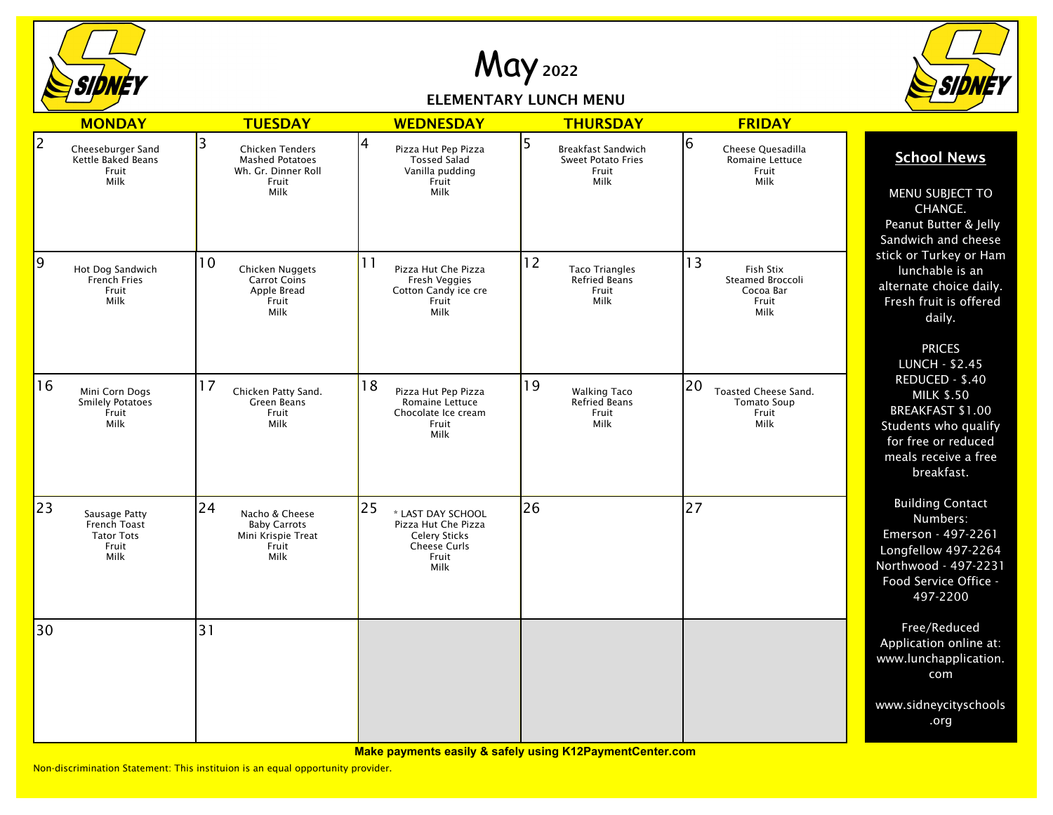

May <sup>2022</sup>

ELEMENTARY LUNCH MENU



|    | <b>MONDAY</b>                                                       | <b>TUESDAY</b>                                                                         | <b>WEDNESDAY</b>                                                                                        | <b>THURSDAY</b>                                                       | <b>FRIDAY</b>                                                            |                                                                                                                                                    |
|----|---------------------------------------------------------------------|----------------------------------------------------------------------------------------|---------------------------------------------------------------------------------------------------------|-----------------------------------------------------------------------|--------------------------------------------------------------------------|----------------------------------------------------------------------------------------------------------------------------------------------------|
| 2  | Cheeseburger Sand<br>Kettle Baked Beans<br>Fruit<br>Milk            | 3<br>Chicken Tenders<br><b>Mashed Potatoes</b><br>Wh. Gr. Dinner Roll<br>Fruit<br>Milk | 4<br>Pizza Hut Pep Pizza<br><b>Tossed Salad</b><br>Vanilla pudding<br>Fruit<br>Milk                     | 5<br>Breakfast Sandwich<br><b>Sweet Potato Fries</b><br>Fruit<br>Milk | 16<br>Cheese Quesadilla<br>Romaine Lettuce<br>Fruit<br>Milk              | <b>School News</b><br>MENU SUBJECT TO<br>CHANGE.<br>Peanut Butter & Jelly<br>Sandwich and cheese                                                   |
| 19 | Hot Dog Sandwich<br>French Fries<br>Fruit<br>Milk                   | 10<br>Chicken Nuggets<br><b>Carrot Coins</b><br>Apple Bread<br>Fruit<br>Milk           | 11<br>Pizza Hut Che Pizza<br>Fresh Veggies<br>Cotton Candy ice cre<br>Fruit<br>Milk                     | 12<br><b>Taco Triangles</b><br><b>Refried Beans</b><br>Fruit<br>Milk  | 13<br>Fish Stix<br>Steamed Broccoli<br>Cocoa Bar<br>Fruit<br><b>Milk</b> | stick or Turkey or Ham<br>lunchable is an<br>alternate choice daily.<br>Fresh fruit is offered<br>daily.<br><b>PRICES</b><br><b>LUNCH - \$2.45</b> |
| 16 | Mini Corn Dogs<br><b>Smilely Potatoes</b><br>Fruit<br>Milk          | 17<br>Chicken Patty Sand.<br>Green Beans<br>Fruit<br>Milk                              | 18<br>Pizza Hut Pep Pizza<br>Romaine Lettuce<br>Chocolate Ice cream<br>Fruit<br>Milk                    | 19<br><b>Walking Taco</b><br>Refried Beans<br>Fruit<br>Milk           | 20<br>Toasted Cheese Sand.<br><b>Tomato Soup</b><br>Fruit<br>Milk        | REDUCED - \$.40<br><b>MILK \$.50</b><br>BREAKFAST \$1.00<br>Students who qualify<br>for free or reduced<br>meals receive a free<br>breakfast.      |
| 23 | Sausage Patty<br>French Toast<br><b>Tator Tots</b><br>Fruit<br>Milk | 24<br>Nacho & Cheese<br><b>Baby Carrots</b><br>Mini Krispie Treat<br>Fruit<br>Milk     | 25<br>* LAST DAY SCHOOL<br>Pizza Hut Che Pizza<br><b>Celery Sticks</b><br>Cheese Curls<br>Fruit<br>Milk | 26                                                                    | 27                                                                       | <b>Building Contact</b><br>Numbers:<br>Emerson - 497-2261<br>Longfellow 497-2264<br>Northwood - 497-2231<br>Food Service Office -<br>497-2200      |
| 30 |                                                                     | 31                                                                                     |                                                                                                         |                                                                       |                                                                          | Free/Reduced<br>Application online at:<br>www.lunchapplication.<br>com                                                                             |
|    |                                                                     |                                                                                        |                                                                                                         |                                                                       |                                                                          | www.sidneycityschools<br>.org                                                                                                                      |

**Make payments easily & safely using K12PaymentCenter.com**

Non-discrimination Statement: This instituion is an equal opportunity provider.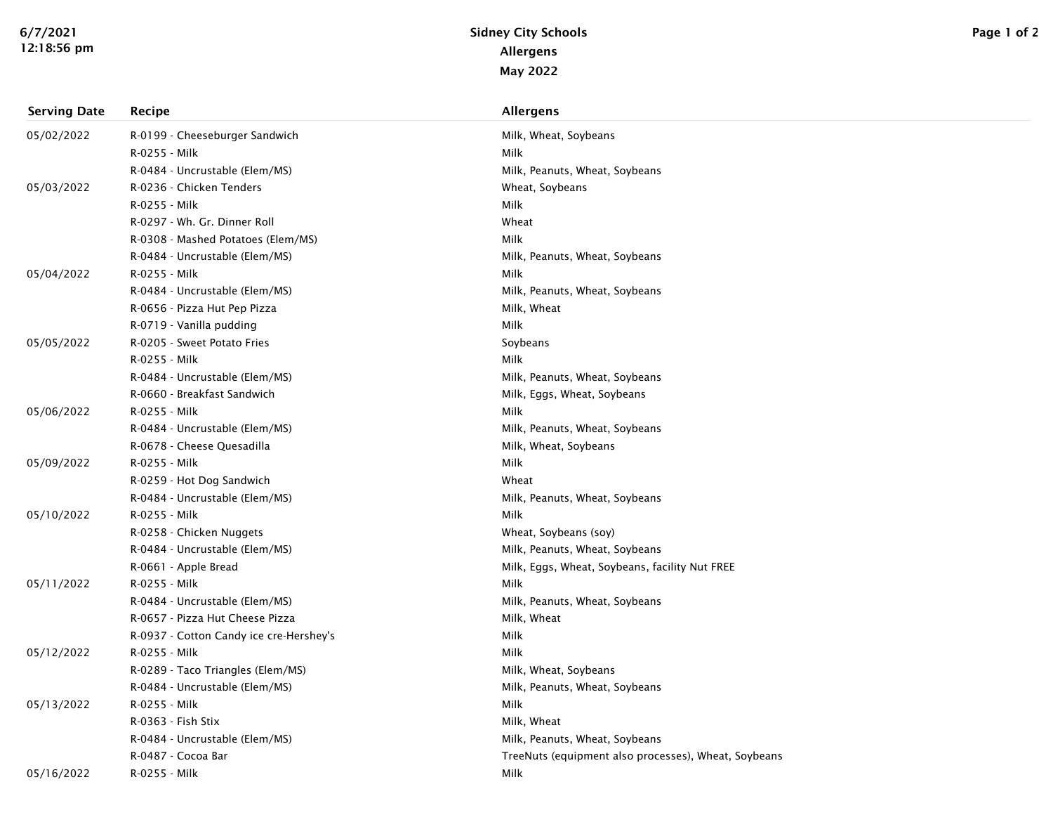| <b>Serving Date</b> | Recipe                                  | <b>Allergens</b>                                     |
|---------------------|-----------------------------------------|------------------------------------------------------|
| 05/02/2022          | R-0199 - Cheeseburger Sandwich          | Milk, Wheat, Soybeans                                |
|                     | R-0255 - Milk                           | Milk                                                 |
|                     | R-0484 - Uncrustable (Elem/MS)          | Milk, Peanuts, Wheat, Soybeans                       |
| 05/03/2022          | R-0236 - Chicken Tenders                | Wheat, Soybeans                                      |
|                     | R-0255 - Milk                           | Milk                                                 |
|                     | R-0297 - Wh. Gr. Dinner Roll            | Wheat                                                |
|                     | R-0308 - Mashed Potatoes (Elem/MS)      | Milk                                                 |
|                     | R-0484 - Uncrustable (Elem/MS)          | Milk, Peanuts, Wheat, Soybeans                       |
| 05/04/2022          | R-0255 - Milk                           | Milk                                                 |
|                     | R-0484 - Uncrustable (Elem/MS)          | Milk, Peanuts, Wheat, Soybeans                       |
|                     | R-0656 - Pizza Hut Pep Pizza            | Milk, Wheat                                          |
|                     | R-0719 - Vanilla pudding                | Milk                                                 |
| 05/05/2022          | R-0205 - Sweet Potato Fries             | Soybeans                                             |
|                     | R-0255 - Milk                           | Milk                                                 |
|                     | R-0484 - Uncrustable (Elem/MS)          | Milk, Peanuts, Wheat, Soybeans                       |
|                     | R-0660 - Breakfast Sandwich             | Milk, Eggs, Wheat, Soybeans                          |
| 05/06/2022          | R-0255 - Milk                           | Milk                                                 |
|                     | R-0484 - Uncrustable (Elem/MS)          | Milk, Peanuts, Wheat, Soybeans                       |
|                     | R-0678 - Cheese Quesadilla              | Milk, Wheat, Soybeans                                |
| 05/09/2022          | R-0255 - Milk                           | Milk                                                 |
|                     | R-0259 - Hot Dog Sandwich               | Wheat                                                |
|                     | R-0484 - Uncrustable (Elem/MS)          | Milk, Peanuts, Wheat, Soybeans                       |
| 05/10/2022          | R-0255 - Milk                           | Milk                                                 |
|                     | R-0258 - Chicken Nuggets                | Wheat, Soybeans (soy)                                |
|                     | R-0484 - Uncrustable (Elem/MS)          | Milk, Peanuts, Wheat, Soybeans                       |
|                     | R-0661 - Apple Bread                    | Milk, Eggs, Wheat, Soybeans, facility Nut FREE       |
| 05/11/2022          | R-0255 - Milk                           | Milk                                                 |
|                     | R-0484 - Uncrustable (Elem/MS)          | Milk, Peanuts, Wheat, Soybeans                       |
|                     | R-0657 - Pizza Hut Cheese Pizza         | Milk, Wheat                                          |
|                     | R-0937 - Cotton Candy ice cre-Hershey's | Milk                                                 |
| 05/12/2022          | R-0255 - Milk                           | Milk                                                 |
|                     | R-0289 - Taco Triangles (Elem/MS)       | Milk, Wheat, Soybeans                                |
|                     | R-0484 - Uncrustable (Elem/MS)          | Milk, Peanuts, Wheat, Soybeans                       |
| 05/13/2022          | R-0255 - Milk                           | Milk                                                 |
|                     | R-0363 - Fish Stix                      | Milk, Wheat                                          |
|                     | R-0484 - Uncrustable (Elem/MS)          | Milk, Peanuts, Wheat, Soybeans                       |
|                     | R-0487 - Cocoa Bar                      | TreeNuts (equipment also processes), Wheat, Soybeans |
| 05/16/2022          | R-0255 - Milk                           | Milk                                                 |